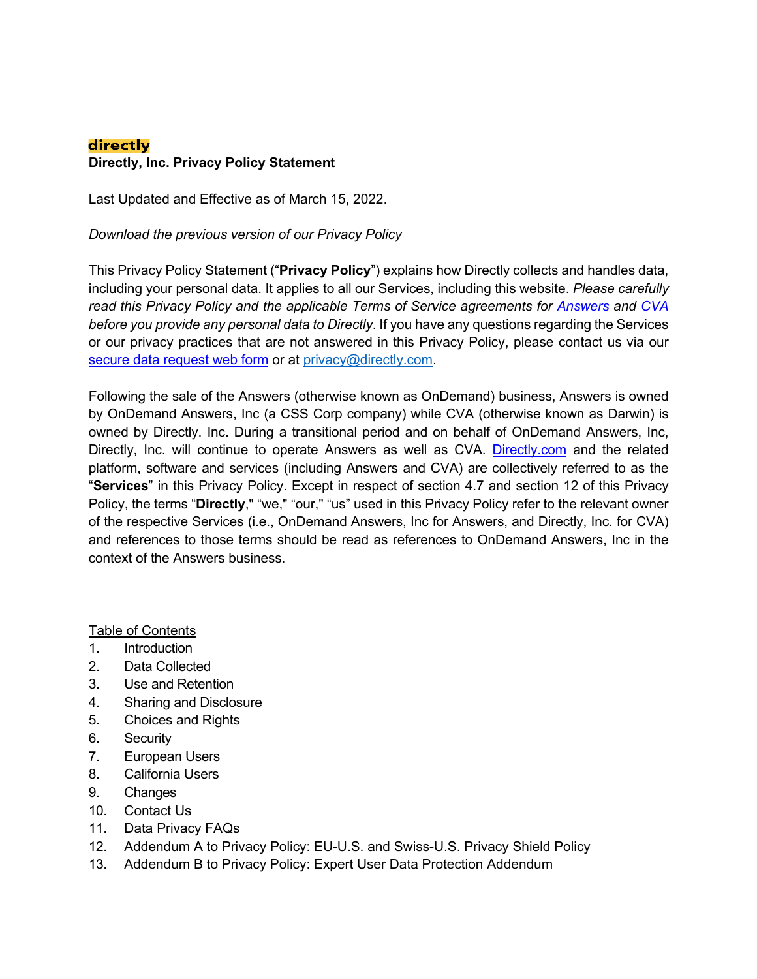# directly **Directly, Inc. Privacy Policy Statement**

Last Updated and Effective as of March 15, 2022.

*Download the previous version of our Privacy Policy*

This Privacy Policy Statement ("**Privacy Policy**") explains how Directly collects and handles data, including your personal data. It applies to all our Services, including this website. *Please carefully read this Privacy Policy and the applicable Terms of Service agreements for Answers and CVA before you provide any personal data to Directly*. If you have any questions regarding the Services or our privacy practices that are not answered in this Privacy Policy, please contact us via our secure data request web form or at privacy@directly.com.

Following the sale of the Answers (otherwise known as OnDemand) business, Answers is owned by OnDemand Answers, Inc (a CSS Corp company) while CVA (otherwise known as Darwin) is owned by Directly. Inc. During a transitional period and on behalf of OnDemand Answers, Inc, Directly, Inc. will continue to operate Answers as well as CVA. Directly.com and the related platform, software and services (including Answers and CVA) are collectively referred to as the "**Services**" in this Privacy Policy. Except in respect of section 4.7 and section 12 of this Privacy Policy, the terms "**Directly**," "we," "our," "us" used in this Privacy Policy refer to the relevant owner of the respective Services (i.e., OnDemand Answers, Inc for Answers, and Directly, Inc. for CVA) and references to those terms should be read as references to OnDemand Answers, Inc in the context of the Answers business.

Table of Contents

- 1. Introduction
- 2. Data Collected
- 3. Use and Retention
- 4. Sharing and Disclosure
- 5. Choices and Rights
- 6. Security
- 7. European Users
- 8. California Users
- 9. Changes
- 10. Contact Us
- 11. Data Privacy FAQs
- 12. Addendum A to Privacy Policy: EU-U.S. and Swiss-U.S. Privacy Shield Policy
- 13. Addendum B to Privacy Policy: Expert User Data Protection Addendum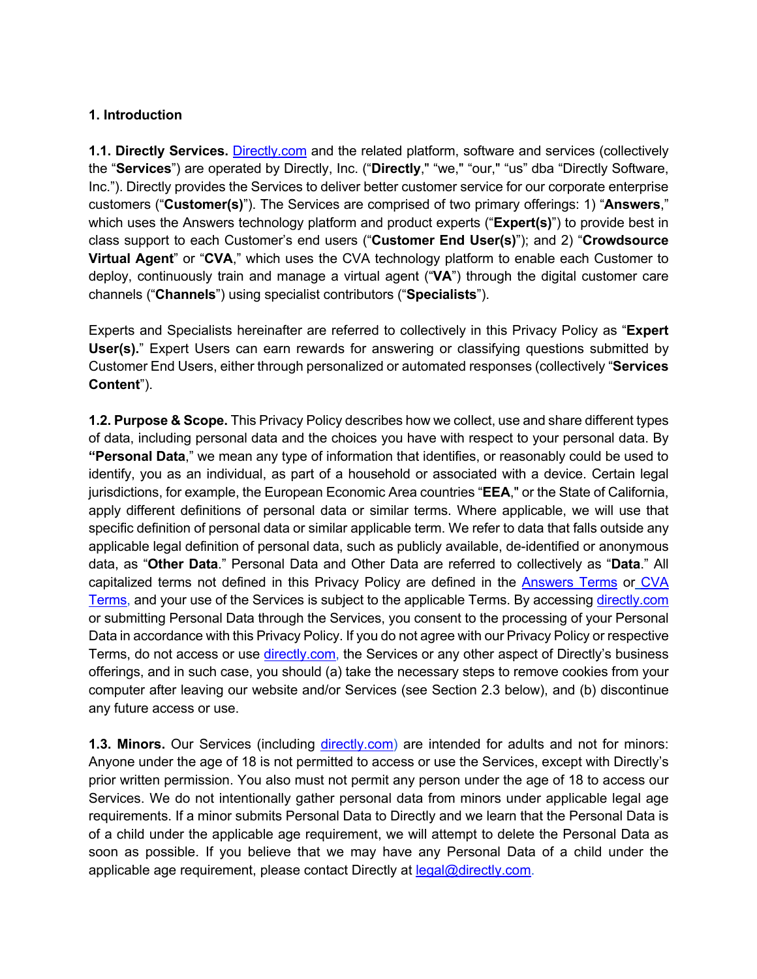## **1. Introduction**

**1.1. Directly Services.** Directly.com and the related platform, software and services (collectively the "**Services**") are operated by Directly, Inc. ("**Directly**," "we," "our," "us" dba "Directly Software, Inc."). Directly provides the Services to deliver better customer service for our corporate enterprise customers ("**Customer(s)**"). The Services are comprised of two primary offerings: 1) "**Answers**," which uses the Answers technology platform and product experts ("**Expert(s)**") to provide best in class support to each Customer's end users ("**Customer End User(s)**"); and 2) "**Crowdsource Virtual Agent**" or "**CVA**," which uses the CVA technology platform to enable each Customer to deploy, continuously train and manage a virtual agent ("**VA**") through the digital customer care channels ("**Channels**") using specialist contributors ("**Specialists**").

Experts and Specialists hereinafter are referred to collectively in this Privacy Policy as "**Expert User(s).**" Expert Users can earn rewards for answering or classifying questions submitted by Customer End Users, either through personalized or automated responses (collectively "**Services Content**").

**1.2. Purpose & Scope.** This Privacy Policy describes how we collect, use and share different types of data, including personal data and the choices you have with respect to your personal data. By **"Personal Data**," we mean any type of information that identifies, or reasonably could be used to identify, you as an individual, as part of a household or associated with a device. Certain legal jurisdictions, for example, the European Economic Area countries "**EEA**," or the State of California, apply different definitions of personal data or similar terms. Where applicable, we will use that specific definition of personal data or similar applicable term. We refer to data that falls outside any applicable legal definition of personal data, such as publicly available, de-identified or anonymous data, as "**Other Data**." Personal Data and Other Data are referred to collectively as "**Data**." All capitalized terms not defined in this Privacy Policy are defined in the Answers Terms or CVA Terms, and your use of the Services is subject to the applicable Terms. By accessing directly.com or submitting Personal Data through the Services, you consent to the processing of your Personal Data in accordance with this Privacy Policy. If you do not agree with our Privacy Policy or respective Terms, do not access or use directly.com, the Services or any other aspect of Directly's business offerings, and in such case, you should (a) take the necessary steps to remove cookies from your computer after leaving our website and/or Services (see Section 2.3 below), and (b) discontinue any future access or use.

**1.3. Minors.** Our Services (including directly.com) are intended for adults and not for minors: Anyone under the age of 18 is not permitted to access or use the Services, except with Directly's prior written permission. You also must not permit any person under the age of 18 to access our Services. We do not intentionally gather personal data from minors under applicable legal age requirements. If a minor submits Personal Data to Directly and we learn that the Personal Data is of a child under the applicable age requirement, we will attempt to delete the Personal Data as soon as possible. If you believe that we may have any Personal Data of a child under the applicable age requirement, please contact Directly at legal@directly.com.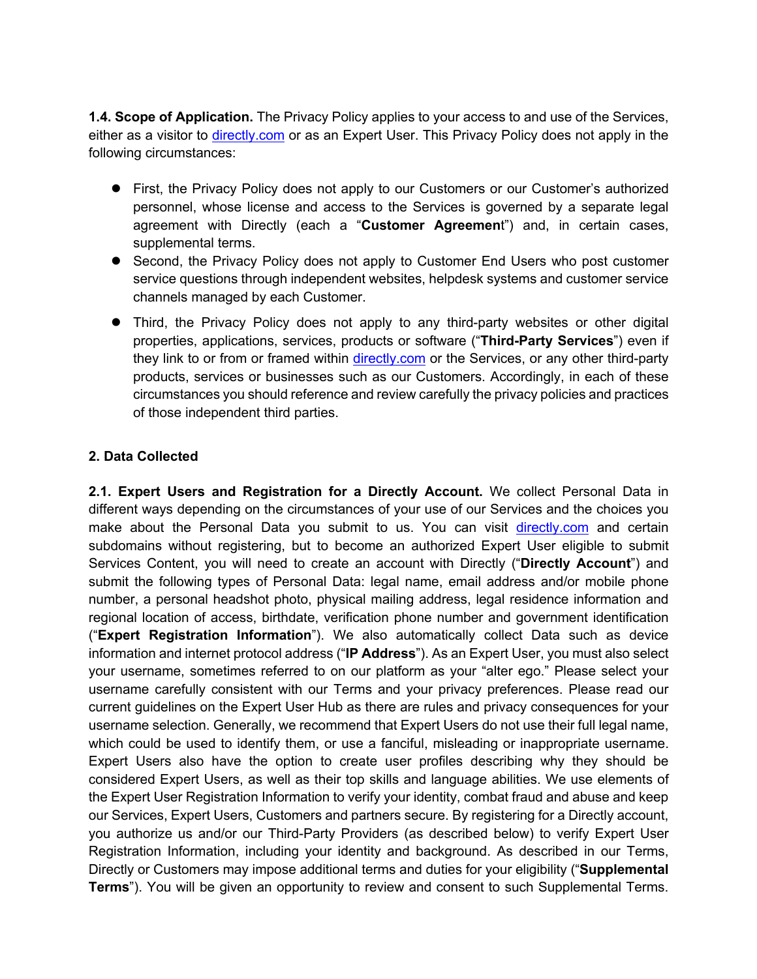**1.4. Scope of Application.** The Privacy Policy applies to your access to and use of the Services, either as a visitor to directly.com or as an Expert User. This Privacy Policy does not apply in the following circumstances:

- First, the Privacy Policy does not apply to our Customers or our Customer's authorized personnel, whose license and access to the Services is governed by a separate legal agreement with Directly (each a "**Customer Agreemen**t") and, in certain cases, supplemental terms.
- Second, the Privacy Policy does not apply to Customer End Users who post customer service questions through independent websites, helpdesk systems and customer service channels managed by each Customer.
- Third, the Privacy Policy does not apply to any third-party websites or other digital properties, applications, services, products or software ("**Third-Party Services**") even if they link to or from or framed within directly.com or the Services, or any other third-party products, services or businesses such as our Customers. Accordingly, in each of these circumstances you should reference and review carefully the privacy policies and practices of those independent third parties.

# **2. Data Collected**

**2.1. Expert Users and Registration for a Directly Account.** We collect Personal Data in different ways depending on the circumstances of your use of our Services and the choices you make about the Personal Data you submit to us. You can visit directly.com and certain subdomains without registering, but to become an authorized Expert User eligible to submit Services Content, you will need to create an account with Directly ("**Directly Account**") and submit the following types of Personal Data: legal name, email address and/or mobile phone number, a personal headshot photo, physical mailing address, legal residence information and regional location of access, birthdate, verification phone number and government identification ("**Expert Registration Information**"). We also automatically collect Data such as device information and internet protocol address ("**IP Address**"). As an Expert User, you must also select your username, sometimes referred to on our platform as your "alter ego." Please select your username carefully consistent with our Terms and your privacy preferences. Please read our current guidelines on the Expert User Hub as there are rules and privacy consequences for your username selection. Generally, we recommend that Expert Users do not use their full legal name, which could be used to identify them, or use a fanciful, misleading or inappropriate username. Expert Users also have the option to create user profiles describing why they should be considered Expert Users, as well as their top skills and language abilities. We use elements of the Expert User Registration Information to verify your identity, combat fraud and abuse and keep our Services, Expert Users, Customers and partners secure. By registering for a Directly account, you authorize us and/or our Third-Party Providers (as described below) to verify Expert User Registration Information, including your identity and background. As described in our Terms, Directly or Customers may impose additional terms and duties for your eligibility ("**Supplemental Terms**"). You will be given an opportunity to review and consent to such Supplemental Terms.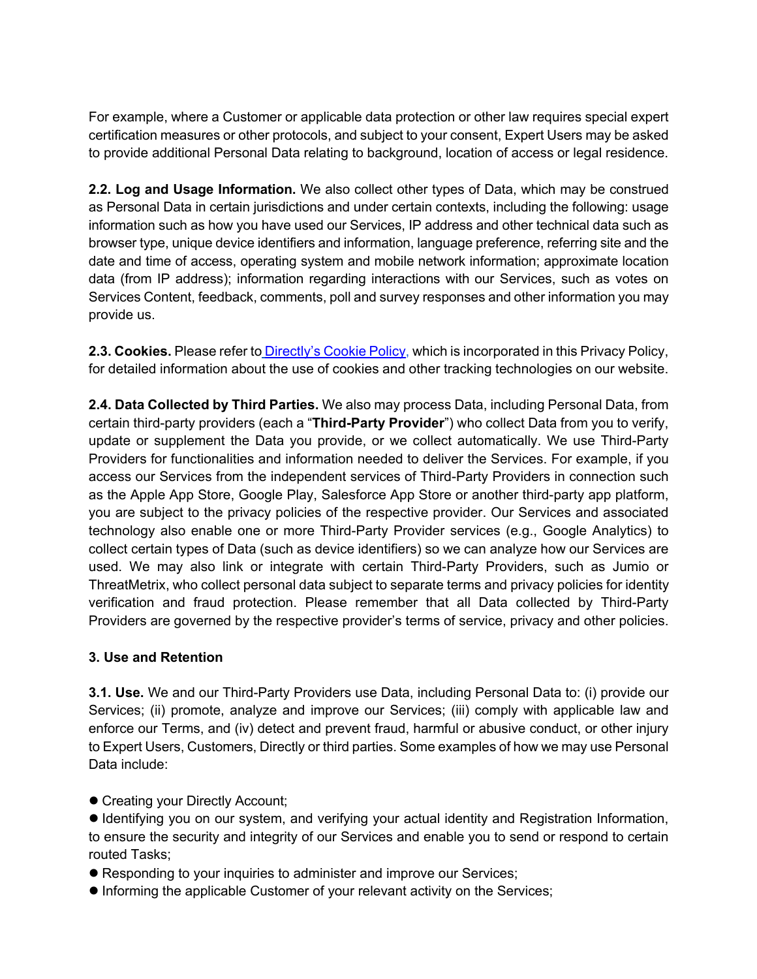For example, where a Customer or applicable data protection or other law requires special expert certification measures or other protocols, and subject to your consent, Expert Users may be asked to provide additional Personal Data relating to background, location of access or legal residence.

**2.2. Log and Usage Information.** We also collect other types of Data, which may be construed as Personal Data in certain jurisdictions and under certain contexts, including the following: usage information such as how you have used our Services, IP address and other technical data such as browser type, unique device identifiers and information, language preference, referring site and the date and time of access, operating system and mobile network information; approximate location data (from IP address); information regarding interactions with our Services, such as votes on Services Content, feedback, comments, poll and survey responses and other information you may provide us.

**2.3. Cookies.** Please refer to Directly's Cookie Policy, which is incorporated in this Privacy Policy, for detailed information about the use of cookies and other tracking technologies on our website.

**2.4. Data Collected by Third Parties.** We also may process Data, including Personal Data, from certain third-party providers (each a "**Third-Party Provider**") who collect Data from you to verify, update or supplement the Data you provide, or we collect automatically. We use Third-Party Providers for functionalities and information needed to deliver the Services. For example, if you access our Services from the independent services of Third-Party Providers in connection such as the Apple App Store, Google Play, Salesforce App Store or another third-party app platform, you are subject to the privacy policies of the respective provider. Our Services and associated technology also enable one or more Third-Party Provider services (e.g., Google Analytics) to collect certain types of Data (such as device identifiers) so we can analyze how our Services are used. We may also link or integrate with certain Third-Party Providers, such as Jumio or ThreatMetrix, who collect personal data subject to separate terms and privacy policies for identity verification and fraud protection. Please remember that all Data collected by Third-Party Providers are governed by the respective provider's terms of service, privacy and other policies.

# **3. Use and Retention**

**3.1. Use.** We and our Third-Party Providers use Data, including Personal Data to: (i) provide our Services; (ii) promote, analyze and improve our Services; (iii) comply with applicable law and enforce our Terms, and (iv) detect and prevent fraud, harmful or abusive conduct, or other injury to Expert Users, Customers, Directly or third parties. Some examples of how we may use Personal Data include:

- Creating your Directly Account;
- $\bullet$  Identifying you on our system, and verifying your actual identity and Registration Information, to ensure the security and integrity of our Services and enable you to send or respond to certain routed Tasks;
- Responding to your inquiries to administer and improve our Services;
- $\bullet$  Informing the applicable Customer of your relevant activity on the Services;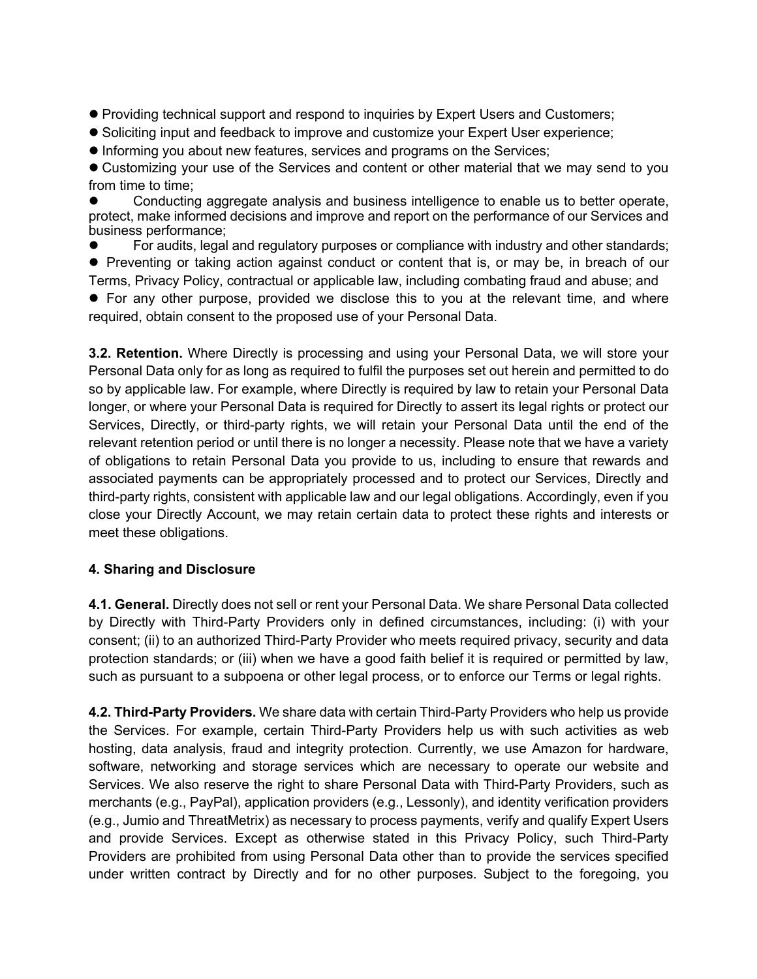- Providing technical support and respond to inquiries by Expert Users and Customers;
- **Soliciting input and feedback to improve and customize your Expert User experience;**
- l Informing you about new features, services and programs on the Services;

• Customizing your use of the Services and content or other material that we may send to you from time to time;

Conducting aggregate analysis and business intelligence to enable us to better operate, protect, make informed decisions and improve and report on the performance of our Services and business performance;

For audits, legal and regulatory purposes or compliance with industry and other standards; • Preventing or taking action against conduct or content that is, or may be, in breach of our Terms, Privacy Policy, contractual or applicable law, including combating fraud and abuse; and

• For any other purpose, provided we disclose this to you at the relevant time, and where required, obtain consent to the proposed use of your Personal Data.

**3.2. Retention.** Where Directly is processing and using your Personal Data, we will store your Personal Data only for as long as required to fulfil the purposes set out herein and permitted to do so by applicable law. For example, where Directly is required by law to retain your Personal Data longer, or where your Personal Data is required for Directly to assert its legal rights or protect our Services, Directly, or third-party rights, we will retain your Personal Data until the end of the relevant retention period or until there is no longer a necessity. Please note that we have a variety of obligations to retain Personal Data you provide to us, including to ensure that rewards and associated payments can be appropriately processed and to protect our Services, Directly and third-party rights, consistent with applicable law and our legal obligations. Accordingly, even if you close your Directly Account, we may retain certain data to protect these rights and interests or meet these obligations.

# **4. Sharing and Disclosure**

**4.1. General.** Directly does not sell or rent your Personal Data. We share Personal Data collected by Directly with Third-Party Providers only in defined circumstances, including: (i) with your consent; (ii) to an authorized Third-Party Provider who meets required privacy, security and data protection standards; or (iii) when we have a good faith belief it is required or permitted by law, such as pursuant to a subpoena or other legal process, or to enforce our Terms or legal rights.

**4.2. Third-Party Providers.** We share data with certain Third-Party Providers who help us provide the Services. For example, certain Third-Party Providers help us with such activities as web hosting, data analysis, fraud and integrity protection. Currently, we use Amazon for hardware, software, networking and storage services which are necessary to operate our website and Services. We also reserve the right to share Personal Data with Third-Party Providers, such as merchants (e.g., PayPal), application providers (e.g., Lessonly), and identity verification providers (e.g., Jumio and ThreatMetrix) as necessary to process payments, verify and qualify Expert Users and provide Services. Except as otherwise stated in this Privacy Policy, such Third-Party Providers are prohibited from using Personal Data other than to provide the services specified under written contract by Directly and for no other purposes. Subject to the foregoing, you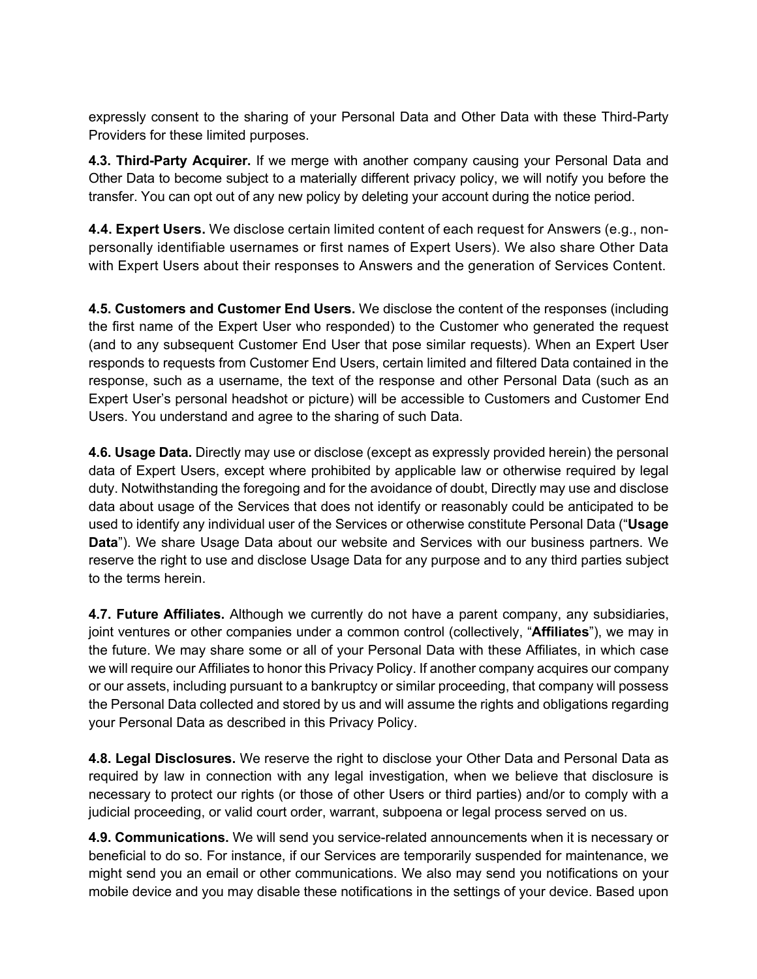expressly consent to the sharing of your Personal Data and Other Data with these Third-Party Providers for these limited purposes.

**4.3. Third-Party Acquirer.** If we merge with another company causing your Personal Data and Other Data to become subject to a materially different privacy policy, we will notify you before the transfer. You can opt out of any new policy by deleting your account during the notice period.

**4.4. Expert Users.** We disclose certain limited content of each request for Answers (e.g., nonpersonally identifiable usernames or first names of Expert Users). We also share Other Data with Expert Users about their responses to Answers and the generation of Services Content.

**4.5. Customers and Customer End Users.** We disclose the content of the responses (including the first name of the Expert User who responded) to the Customer who generated the request (and to any subsequent Customer End User that pose similar requests). When an Expert User responds to requests from Customer End Users, certain limited and filtered Data contained in the response, such as a username, the text of the response and other Personal Data (such as an Expert User's personal headshot or picture) will be accessible to Customers and Customer End Users. You understand and agree to the sharing of such Data.

**4.6. Usage Data.** Directly may use or disclose (except as expressly provided herein) the personal data of Expert Users, except where prohibited by applicable law or otherwise required by legal duty. Notwithstanding the foregoing and for the avoidance of doubt, Directly may use and disclose data about usage of the Services that does not identify or reasonably could be anticipated to be used to identify any individual user of the Services or otherwise constitute Personal Data ("**Usage Data**"). We share Usage Data about our website and Services with our business partners. We reserve the right to use and disclose Usage Data for any purpose and to any third parties subject to the terms herein.

**4.7. Future Affiliates.** Although we currently do not have a parent company, any subsidiaries, joint ventures or other companies under a common control (collectively, "**Affiliates**"), we may in the future. We may share some or all of your Personal Data with these Affiliates, in which case we will require our Affiliates to honor this Privacy Policy. If another company acquires our company or our assets, including pursuant to a bankruptcy or similar proceeding, that company will possess the Personal Data collected and stored by us and will assume the rights and obligations regarding your Personal Data as described in this Privacy Policy.

**4.8. Legal Disclosures.** We reserve the right to disclose your Other Data and Personal Data as required by law in connection with any legal investigation, when we believe that disclosure is necessary to protect our rights (or those of other Users or third parties) and/or to comply with a judicial proceeding, or valid court order, warrant, subpoena or legal process served on us.

**4.9. Communications.** We will send you service-related announcements when it is necessary or beneficial to do so. For instance, if our Services are temporarily suspended for maintenance, we might send you an email or other communications. We also may send you notifications on your mobile device and you may disable these notifications in the settings of your device. Based upon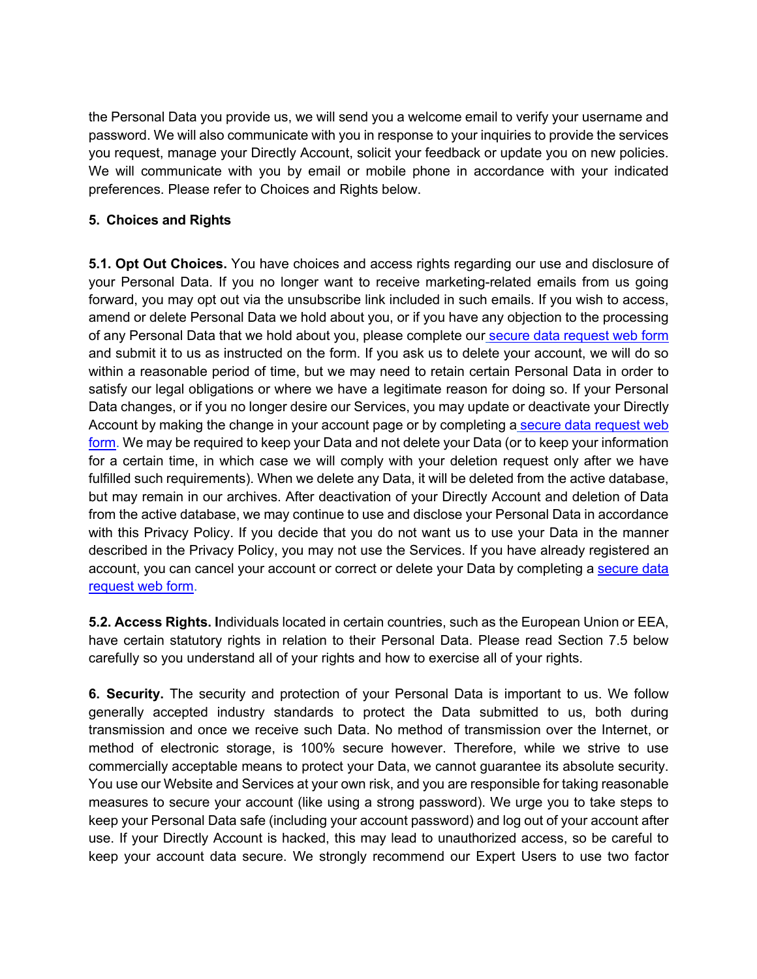the Personal Data you provide us, we will send you a welcome email to verify your username and password. We will also communicate with you in response to your inquiries to provide the services you request, manage your Directly Account, solicit your feedback or update you on new policies. We will communicate with you by email or mobile phone in accordance with your indicated preferences. Please refer to Choices and Rights below.

### **5. Choices and Rights**

**5.1. Opt Out Choices.** You have choices and access rights regarding our use and disclosure of your Personal Data. If you no longer want to receive marketing-related emails from us going forward, you may opt out via the unsubscribe link included in such emails. If you wish to access, amend or delete Personal Data we hold about you, or if you have any objection to the processing of any Personal Data that we hold about you, please complete our secure data request web form and submit it to us as instructed on the form. If you ask us to delete your account, we will do so within a reasonable period of time, but we may need to retain certain Personal Data in order to satisfy our legal obligations or where we have a legitimate reason for doing so. If your Personal Data changes, or if you no longer desire our Services, you may update or deactivate your Directly Account by making the change in your account page or by completing a secure data request web form. We may be required to keep your Data and not delete your Data (or to keep your information for a certain time, in which case we will comply with your deletion request only after we have fulfilled such requirements). When we delete any Data, it will be deleted from the active database, but may remain in our archives. After deactivation of your Directly Account and deletion of Data from the active database, we may continue to use and disclose your Personal Data in accordance with this Privacy Policy. If you decide that you do not want us to use your Data in the manner described in the Privacy Policy, you may not use the Services. If you have already registered an account, you can cancel your account or correct or delete your Data by completing a secure data request web form.

**5.2. Access Rights. I**ndividuals located in certain countries, such as the European Union or EEA, have certain statutory rights in relation to their Personal Data. Please read Section 7.5 below carefully so you understand all of your rights and how to exercise all of your rights.

**6. Security.** The security and protection of your Personal Data is important to us. We follow generally accepted industry standards to protect the Data submitted to us, both during transmission and once we receive such Data. No method of transmission over the Internet, or method of electronic storage, is 100% secure however. Therefore, while we strive to use commercially acceptable means to protect your Data, we cannot guarantee its absolute security. You use our Website and Services at your own risk, and you are responsible for taking reasonable measures to secure your account (like using a strong password). We urge you to take steps to keep your Personal Data safe (including your account password) and log out of your account after use. If your Directly Account is hacked, this may lead to unauthorized access, so be careful to keep your account data secure. We strongly recommend our Expert Users to use two factor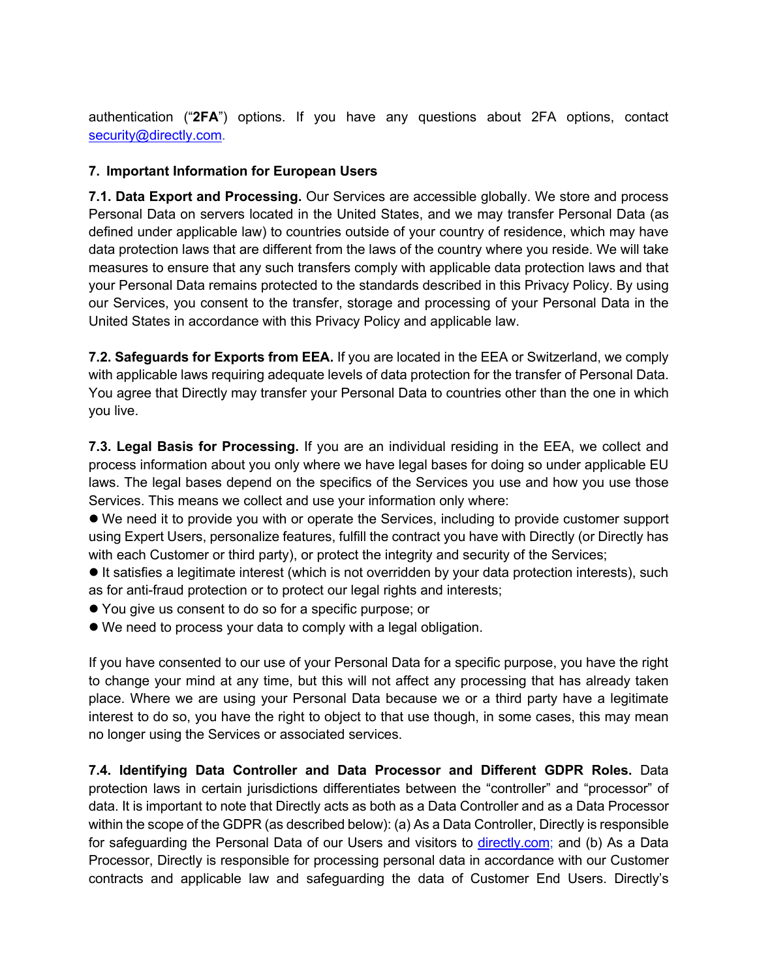authentication ("**2FA**") options. If you have any questions about 2FA options, contact security@directly.com.

### **7. Important Information for European Users**

**7.1. Data Export and Processing.** Our Services are accessible globally. We store and process Personal Data on servers located in the United States, and we may transfer Personal Data (as defined under applicable law) to countries outside of your country of residence, which may have data protection laws that are different from the laws of the country where you reside. We will take measures to ensure that any such transfers comply with applicable data protection laws and that your Personal Data remains protected to the standards described in this Privacy Policy. By using our Services, you consent to the transfer, storage and processing of your Personal Data in the United States in accordance with this Privacy Policy and applicable law.

**7.2. Safeguards for Exports from EEA.** If you are located in the EEA or Switzerland, we comply with applicable laws requiring adequate levels of data protection for the transfer of Personal Data. You agree that Directly may transfer your Personal Data to countries other than the one in which you live.

**7.3. Legal Basis for Processing.** If you are an individual residing in the EEA, we collect and process information about you only where we have legal bases for doing so under applicable EU laws. The legal bases depend on the specifics of the Services you use and how you use those Services. This means we collect and use your information only where:

l We need it to provide you with or operate the Services, including to provide customer support using Expert Users, personalize features, fulfill the contract you have with Directly (or Directly has with each Customer or third party), or protect the integrity and security of the Services;

 $\bullet$  It satisfies a legitimate interest (which is not overridden by your data protection interests), such as for anti-fraud protection or to protect our legal rights and interests;

- l You give us consent to do so for a specific purpose; or
- $\bullet$  We need to process your data to comply with a legal obligation.

If you have consented to our use of your Personal Data for a specific purpose, you have the right to change your mind at any time, but this will not affect any processing that has already taken place. Where we are using your Personal Data because we or a third party have a legitimate interest to do so, you have the right to object to that use though, in some cases, this may mean no longer using the Services or associated services.

**7.4. Identifying Data Controller and Data Processor and Different GDPR Roles.** Data protection laws in certain jurisdictions differentiates between the "controller" and "processor" of data. It is important to note that Directly acts as both as a Data Controller and as a Data Processor within the scope of the GDPR (as described below): (a) As a Data Controller, Directly is responsible for safeguarding the Personal Data of our Users and visitors to directly.com; and (b) As a Data Processor, Directly is responsible for processing personal data in accordance with our Customer contracts and applicable law and safeguarding the data of Customer End Users. Directly's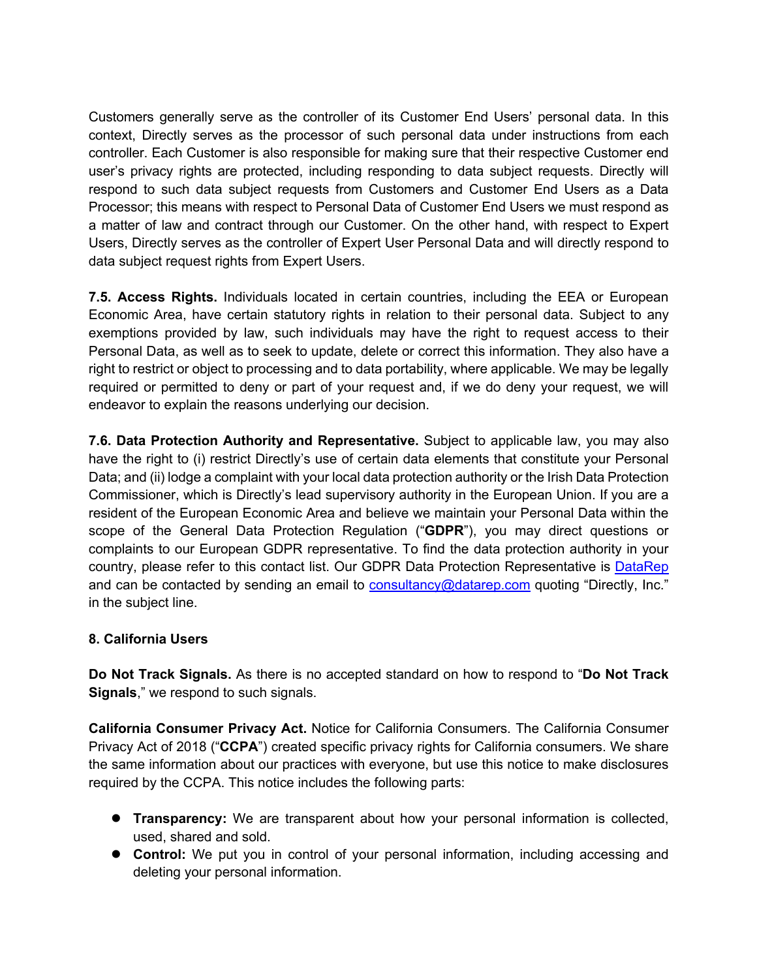Customers generally serve as the controller of its Customer End Users' personal data. In this context, Directly serves as the processor of such personal data under instructions from each controller. Each Customer is also responsible for making sure that their respective Customer end user's privacy rights are protected, including responding to data subject requests. Directly will respond to such data subject requests from Customers and Customer End Users as a Data Processor; this means with respect to Personal Data of Customer End Users we must respond as a matter of law and contract through our Customer. On the other hand, with respect to Expert Users, Directly serves as the controller of Expert User Personal Data and will directly respond to data subject request rights from Expert Users.

**7.5. Access Rights.** Individuals located in certain countries, including the EEA or European Economic Area, have certain statutory rights in relation to their personal data. Subject to any exemptions provided by law, such individuals may have the right to request access to their Personal Data, as well as to seek to update, delete or correct this information. They also have a right to restrict or object to processing and to data portability, where applicable. We may be legally required or permitted to deny or part of your request and, if we do deny your request, we will endeavor to explain the reasons underlying our decision.

**7.6. Data Protection Authority and Representative.** Subject to applicable law, you may also have the right to (i) restrict Directly's use of certain data elements that constitute your Personal Data; and (ii) lodge a complaint with your local data protection authority or the Irish Data Protection Commissioner, which is Directly's lead supervisory authority in the European Union. If you are a resident of the European Economic Area and believe we maintain your Personal Data within the scope of the General Data Protection Regulation ("**GDPR**"), you may direct questions or complaints to our European GDPR representative. To find the data protection authority in your country, please refer to this contact list. Our GDPR Data Protection Representative is DataRep and can be contacted by sending an email to **consultancy@datarep.com** quoting "Directly, Inc." in the subject line.

# **8. California Users**

**Do Not Track Signals.** As there is no accepted standard on how to respond to "**Do Not Track Signals**," we respond to such signals.

**California Consumer Privacy Act.** Notice for California Consumers. The California Consumer Privacy Act of 2018 ("**CCPA**") created specific privacy rights for California consumers. We share the same information about our practices with everyone, but use this notice to make disclosures required by the CCPA. This notice includes the following parts:

- **Transparency:** We are transparent about how your personal information is collected, used, shared and sold.
- **Control:** We put you in control of your personal information, including accessing and deleting your personal information.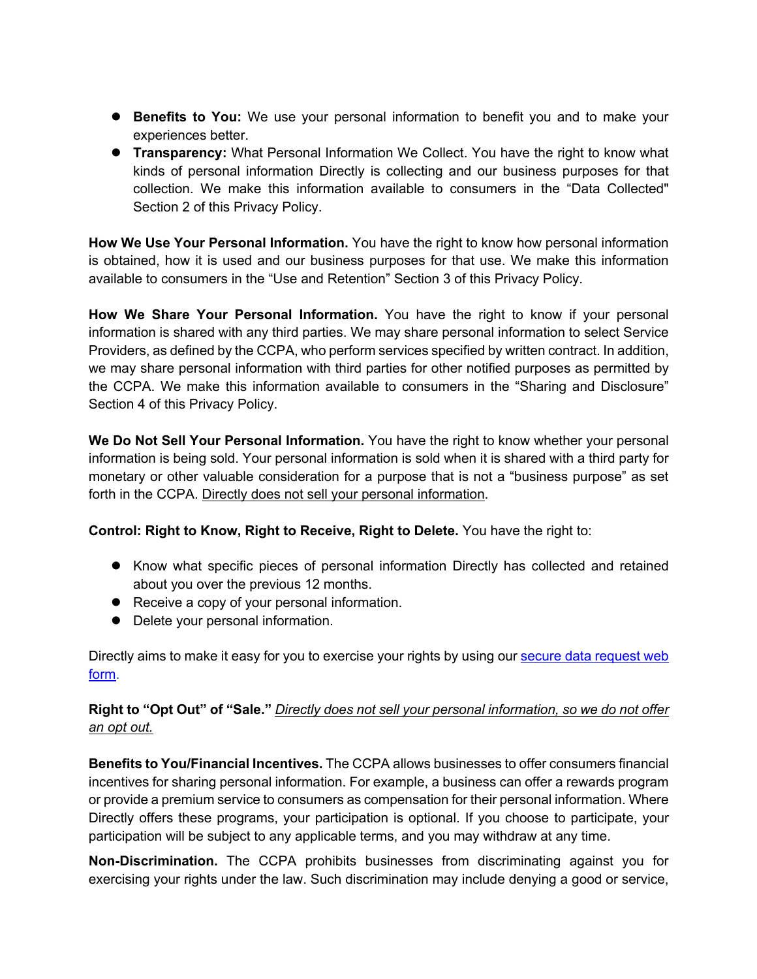- **Benefits to You:** We use your personal information to benefit you and to make your experiences better.
- **Transparency:** What Personal Information We Collect. You have the right to know what kinds of personal information Directly is collecting and our business purposes for that collection. We make this information available to consumers in the "Data Collected" Section 2 of this Privacy Policy.

**How We Use Your Personal Information.** You have the right to know how personal information is obtained, how it is used and our business purposes for that use. We make this information available to consumers in the "Use and Retention" Section 3 of this Privacy Policy.

**How We Share Your Personal Information.** You have the right to know if your personal information is shared with any third parties. We may share personal information to select Service Providers, as defined by the CCPA, who perform services specified by written contract. In addition, we may share personal information with third parties for other notified purposes as permitted by the CCPA. We make this information available to consumers in the "Sharing and Disclosure" Section 4 of this Privacy Policy.

**We Do Not Sell Your Personal Information.** You have the right to know whether your personal information is being sold. Your personal information is sold when it is shared with a third party for monetary or other valuable consideration for a purpose that is not a "business purpose" as set forth in the CCPA. Directly does not sell your personal information.

**Control: Right to Know, Right to Receive, Right to Delete.** You have the right to:

- Know what specific pieces of personal information Directly has collected and retained about you over the previous 12 months.
- Receive a copy of your personal information.
- Delete your personal information.

Directly aims to make it easy for you to exercise your rights by using our secure data request web form.

**Right to "Opt Out" of "Sale."** *Directly does not sell your personal information, so we do not offer an opt out.* 

**Benefits to You/Financial Incentives.** The CCPA allows businesses to offer consumers financial incentives for sharing personal information. For example, a business can offer a rewards program or provide a premium service to consumers as compensation for their personal information. Where Directly offers these programs, your participation is optional. If you choose to participate, your participation will be subject to any applicable terms, and you may withdraw at any time.

**Non-Discrimination.** The CCPA prohibits businesses from discriminating against you for exercising your rights under the law. Such discrimination may include denying a good or service,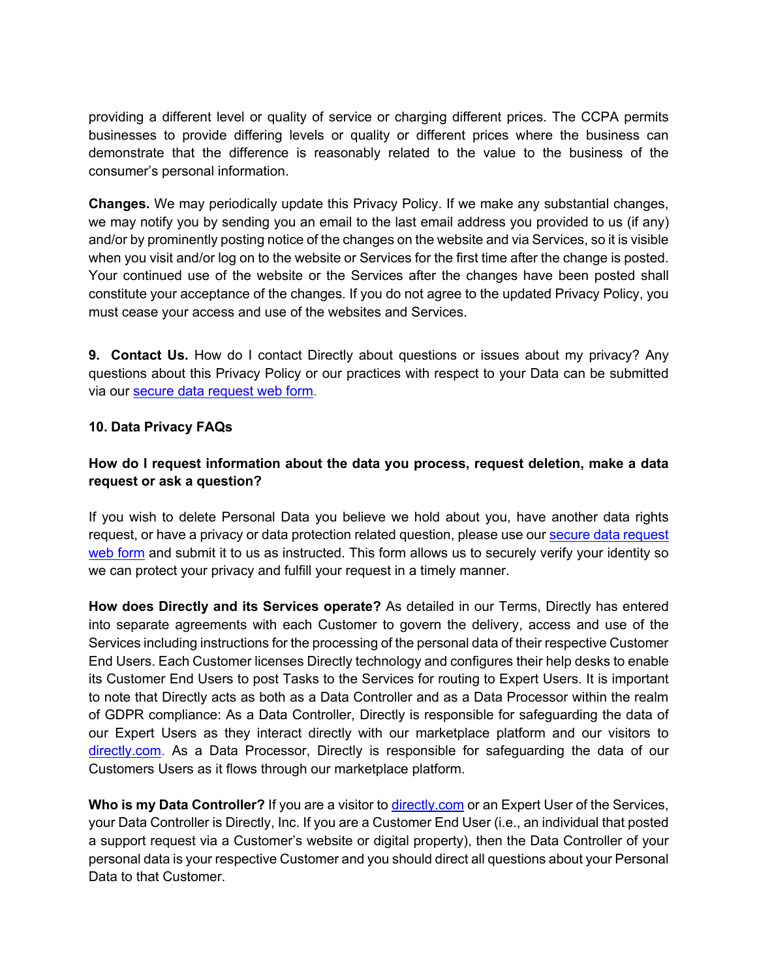providing a different level or quality of service or charging different prices. The CCPA permits businesses to provide differing levels or quality or different prices where the business can demonstrate that the difference is reasonably related to the value to the business of the consumer's personal information.

**Changes.** We may periodically update this Privacy Policy. If we make any substantial changes, we may notify you by sending you an email to the last email address you provided to us (if any) and/or by prominently posting notice of the changes on the website and via Services, so it is visible when you visit and/or log on to the website or Services for the first time after the change is posted. Your continued use of the website or the Services after the changes have been posted shall constitute your acceptance of the changes. If you do not agree to the updated Privacy Policy, you must cease your access and use of the websites and Services.

**9. Contact Us.** How do I contact Directly about questions or issues about my privacy? Any questions about this Privacy Policy or our practices with respect to your Data can be submitted via our secure data request web form.

#### **10. Data Privacy FAQs**

### **How do I request information about the data you process, request deletion, make a data request or ask a question?**

If you wish to delete Personal Data you believe we hold about you, have another data rights request, or have a privacy or data protection related question, please use our secure data request web form and submit it to us as instructed. This form allows us to securely verify your identity so we can protect your privacy and fulfill your request in a timely manner.

**How does Directly and its Services operate?** As detailed in our Terms, Directly has entered into separate agreements with each Customer to govern the delivery, access and use of the Services including instructions for the processing of the personal data of their respective Customer End Users. Each Customer licenses Directly technology and configures their help desks to enable its Customer End Users to post Tasks to the Services for routing to Expert Users. It is important to note that Directly acts as both as a Data Controller and as a Data Processor within the realm of GDPR compliance: As a Data Controller, Directly is responsible for safeguarding the data of our Expert Users as they interact directly with our marketplace platform and our visitors to directly.com. As a Data Processor, Directly is responsible for safeguarding the data of our Customers Users as it flows through our marketplace platform.

**Who is my Data Controller?** If you are a visitor to directly.com or an Expert User of the Services, your Data Controller is Directly, Inc. If you are a Customer End User (i.e., an individual that posted a support request via a Customer's website or digital property), then the Data Controller of your personal data is your respective Customer and you should direct all questions about your Personal Data to that Customer.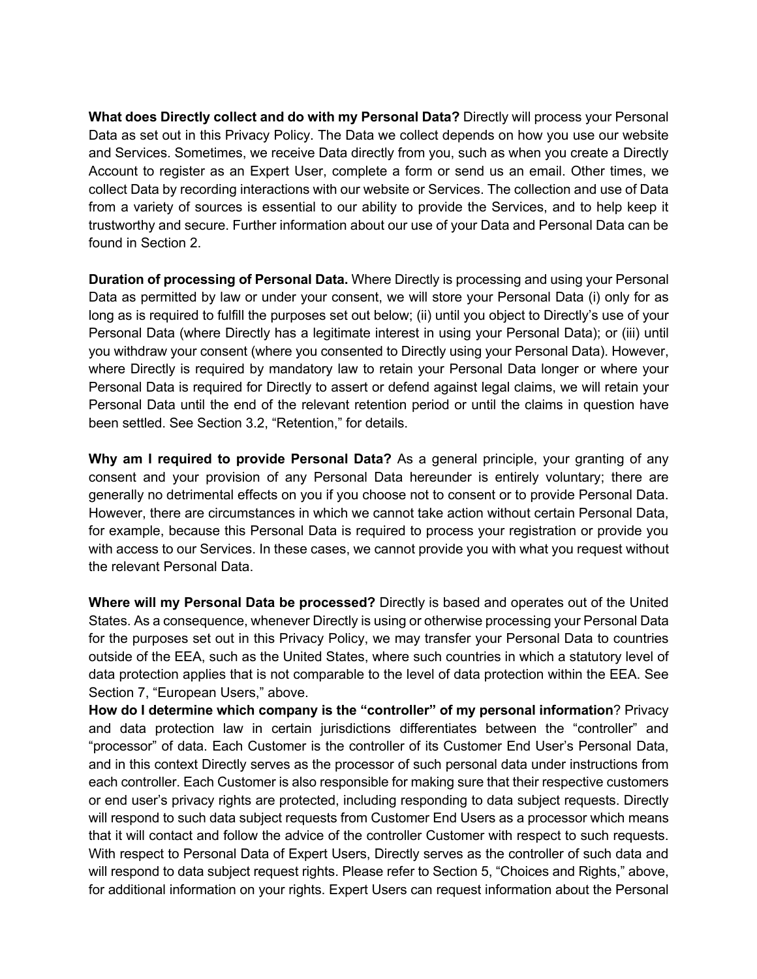**What does Directly collect and do with my Personal Data?** Directly will process your Personal Data as set out in this Privacy Policy. The Data we collect depends on how you use our website and Services. Sometimes, we receive Data directly from you, such as when you create a Directly Account to register as an Expert User, complete a form or send us an email. Other times, we collect Data by recording interactions with our website or Services. The collection and use of Data from a variety of sources is essential to our ability to provide the Services, and to help keep it trustworthy and secure. Further information about our use of your Data and Personal Data can be found in Section 2.

**Duration of processing of Personal Data.** Where Directly is processing and using your Personal Data as permitted by law or under your consent, we will store your Personal Data (i) only for as long as is required to fulfill the purposes set out below; (ii) until you object to Directly's use of your Personal Data (where Directly has a legitimate interest in using your Personal Data); or (iii) until you withdraw your consent (where you consented to Directly using your Personal Data). However, where Directly is required by mandatory law to retain your Personal Data longer or where your Personal Data is required for Directly to assert or defend against legal claims, we will retain your Personal Data until the end of the relevant retention period or until the claims in question have been settled. See Section 3.2, "Retention," for details.

**Why am I required to provide Personal Data?** As a general principle, your granting of any consent and your provision of any Personal Data hereunder is entirely voluntary; there are generally no detrimental effects on you if you choose not to consent or to provide Personal Data. However, there are circumstances in which we cannot take action without certain Personal Data, for example, because this Personal Data is required to process your registration or provide you with access to our Services. In these cases, we cannot provide you with what you request without the relevant Personal Data.

**Where will my Personal Data be processed?** Directly is based and operates out of the United States. As a consequence, whenever Directly is using or otherwise processing your Personal Data for the purposes set out in this Privacy Policy, we may transfer your Personal Data to countries outside of the EEA, such as the United States, where such countries in which a statutory level of data protection applies that is not comparable to the level of data protection within the EEA. See Section 7, "European Users," above.

**How do I determine which company is the "controller" of my personal information**? Privacy and data protection law in certain jurisdictions differentiates between the "controller" and "processor" of data. Each Customer is the controller of its Customer End User's Personal Data, and in this context Directly serves as the processor of such personal data under instructions from each controller. Each Customer is also responsible for making sure that their respective customers or end user's privacy rights are protected, including responding to data subject requests. Directly will respond to such data subject requests from Customer End Users as a processor which means that it will contact and follow the advice of the controller Customer with respect to such requests. With respect to Personal Data of Expert Users, Directly serves as the controller of such data and will respond to data subject request rights. Please refer to Section 5, "Choices and Rights," above, for additional information on your rights. Expert Users can request information about the Personal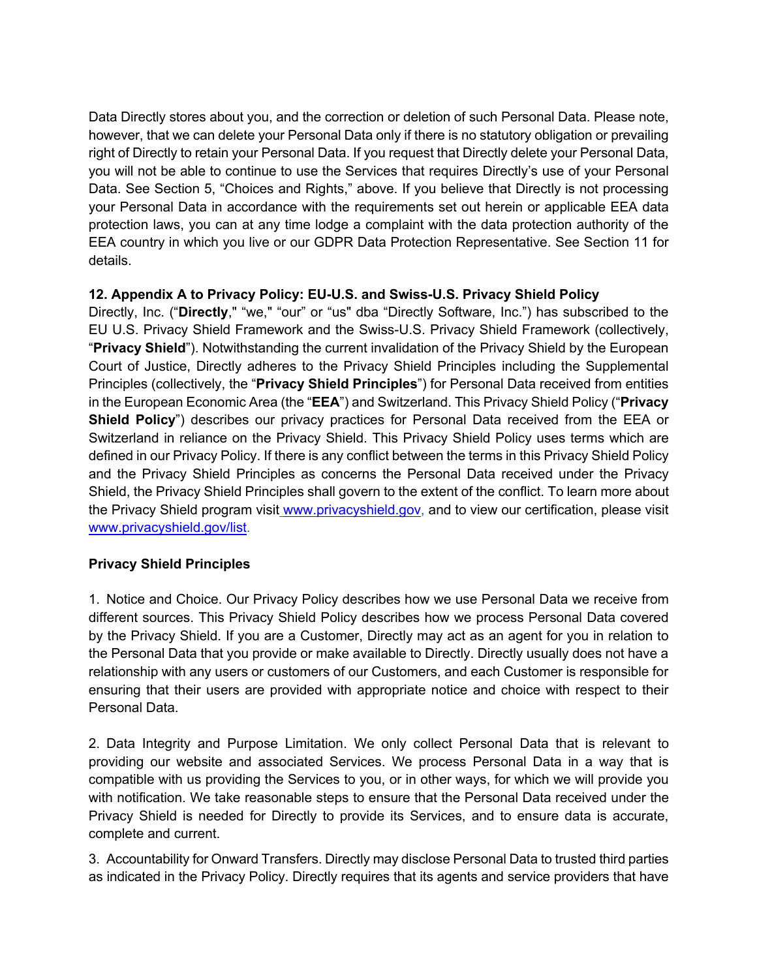Data Directly stores about you, and the correction or deletion of such Personal Data. Please note, however, that we can delete your Personal Data only if there is no statutory obligation or prevailing right of Directly to retain your Personal Data. If you request that Directly delete your Personal Data, you will not be able to continue to use the Services that requires Directly's use of your Personal Data. See Section 5, "Choices and Rights," above. If you believe that Directly is not processing your Personal Data in accordance with the requirements set out herein or applicable EEA data protection laws, you can at any time lodge a complaint with the data protection authority of the EEA country in which you live or our GDPR Data Protection Representative. See Section 11 for details.

# **12. Appendix A to Privacy Policy: EU-U.S. and Swiss-U.S. Privacy Shield Policy**

Directly, Inc. ("**Directly**," "we," "our" or "us" dba "Directly Software, Inc.") has subscribed to the EU U.S. Privacy Shield Framework and the Swiss-U.S. Privacy Shield Framework (collectively, "**Privacy Shield**"). Notwithstanding the current invalidation of the Privacy Shield by the European Court of Justice, Directly adheres to the Privacy Shield Principles including the Supplemental Principles (collectively, the "**Privacy Shield Principles**") for Personal Data received from entities in the European Economic Area (the "**EEA**") and Switzerland. This Privacy Shield Policy ("**Privacy Shield Policy**") describes our privacy practices for Personal Data received from the EEA or Switzerland in reliance on the Privacy Shield. This Privacy Shield Policy uses terms which are defined in our Privacy Policy. If there is any conflict between the terms in this Privacy Shield Policy and the Privacy Shield Principles as concerns the Personal Data received under the Privacy Shield, the Privacy Shield Principles shall govern to the extent of the conflict. To learn more about the Privacy Shield program visit www.privacyshield.gov, and to view our certification, please visit www.privacyshield.gov/list.

# **Privacy Shield Principles**

1. Notice and Choice. Our Privacy Policy describes how we use Personal Data we receive from different sources. This Privacy Shield Policy describes how we process Personal Data covered by the Privacy Shield. If you are a Customer, Directly may act as an agent for you in relation to the Personal Data that you provide or make available to Directly. Directly usually does not have a relationship with any users or customers of our Customers, and each Customer is responsible for ensuring that their users are provided with appropriate notice and choice with respect to their Personal Data.

2. Data Integrity and Purpose Limitation. We only collect Personal Data that is relevant to providing our website and associated Services. We process Personal Data in a way that is compatible with us providing the Services to you, or in other ways, for which we will provide you with notification. We take reasonable steps to ensure that the Personal Data received under the Privacy Shield is needed for Directly to provide its Services, and to ensure data is accurate, complete and current.

3. Accountability for Onward Transfers. Directly may disclose Personal Data to trusted third parties as indicated in the Privacy Policy. Directly requires that its agents and service providers that have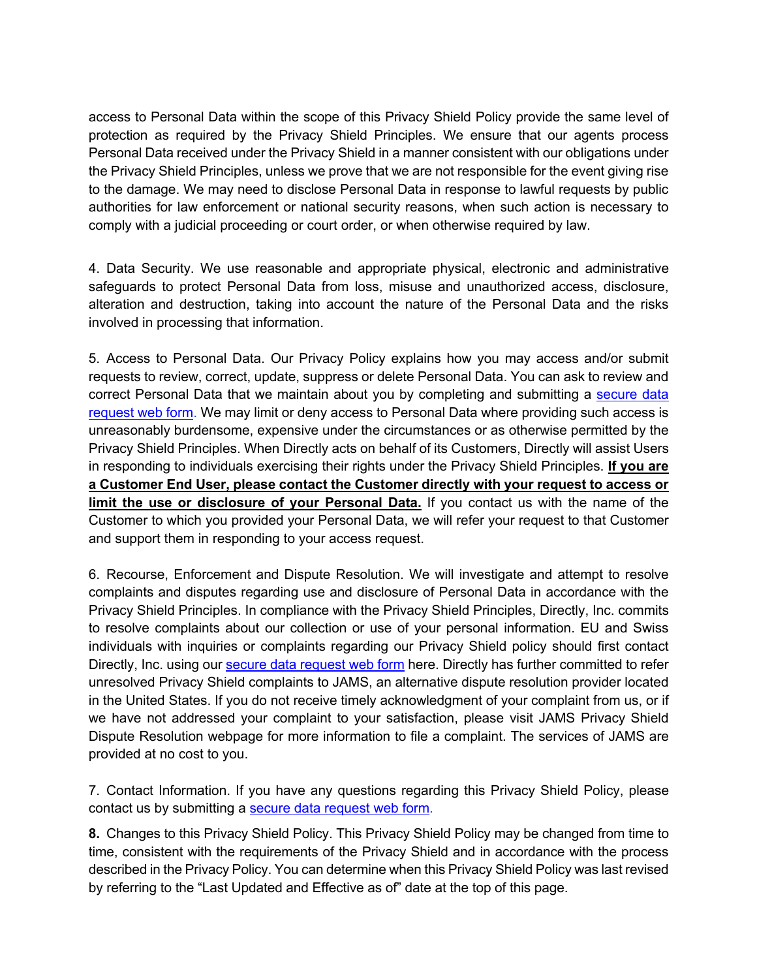access to Personal Data within the scope of this Privacy Shield Policy provide the same level of protection as required by the Privacy Shield Principles. We ensure that our agents process Personal Data received under the Privacy Shield in a manner consistent with our obligations under the Privacy Shield Principles, unless we prove that we are not responsible for the event giving rise to the damage. We may need to disclose Personal Data in response to lawful requests by public authorities for law enforcement or national security reasons, when such action is necessary to comply with a judicial proceeding or court order, or when otherwise required by law.

4. Data Security. We use reasonable and appropriate physical, electronic and administrative safeguards to protect Personal Data from loss, misuse and unauthorized access, disclosure, alteration and destruction, taking into account the nature of the Personal Data and the risks involved in processing that information.

5. Access to Personal Data. Our Privacy Policy explains how you may access and/or submit requests to review, correct, update, suppress or delete Personal Data. You can ask to review and correct Personal Data that we maintain about you by completing and submitting a secure data request web form. We may limit or deny access to Personal Data where providing such access is unreasonably burdensome, expensive under the circumstances or as otherwise permitted by the Privacy Shield Principles. When Directly acts on behalf of its Customers, Directly will assist Users in responding to individuals exercising their rights under the Privacy Shield Principles. **If you are a Customer End User, please contact the Customer directly with your request to access or limit the use or disclosure of your Personal Data.** If you contact us with the name of the Customer to which you provided your Personal Data, we will refer your request to that Customer and support them in responding to your access request.

6. Recourse, Enforcement and Dispute Resolution. We will investigate and attempt to resolve complaints and disputes regarding use and disclosure of Personal Data in accordance with the Privacy Shield Principles. In compliance with the Privacy Shield Principles, Directly, Inc. commits to resolve complaints about our collection or use of your personal information. EU and Swiss individuals with inquiries or complaints regarding our Privacy Shield policy should first contact Directly, Inc. using our secure data request web form here. Directly has further committed to refer unresolved Privacy Shield complaints to JAMS, an alternative dispute resolution provider located in the United States. If you do not receive timely acknowledgment of your complaint from us, or if we have not addressed your complaint to your satisfaction, please visit JAMS Privacy Shield Dispute Resolution webpage for more information to file a complaint. The services of JAMS are provided at no cost to you.

7. Contact Information. If you have any questions regarding this Privacy Shield Policy, please contact us by submitting a secure data request web form.

**8.** Changes to this Privacy Shield Policy. This Privacy Shield Policy may be changed from time to time, consistent with the requirements of the Privacy Shield and in accordance with the process described in the Privacy Policy. You can determine when this Privacy Shield Policy was last revised by referring to the "Last Updated and Effective as of" date at the top of this page.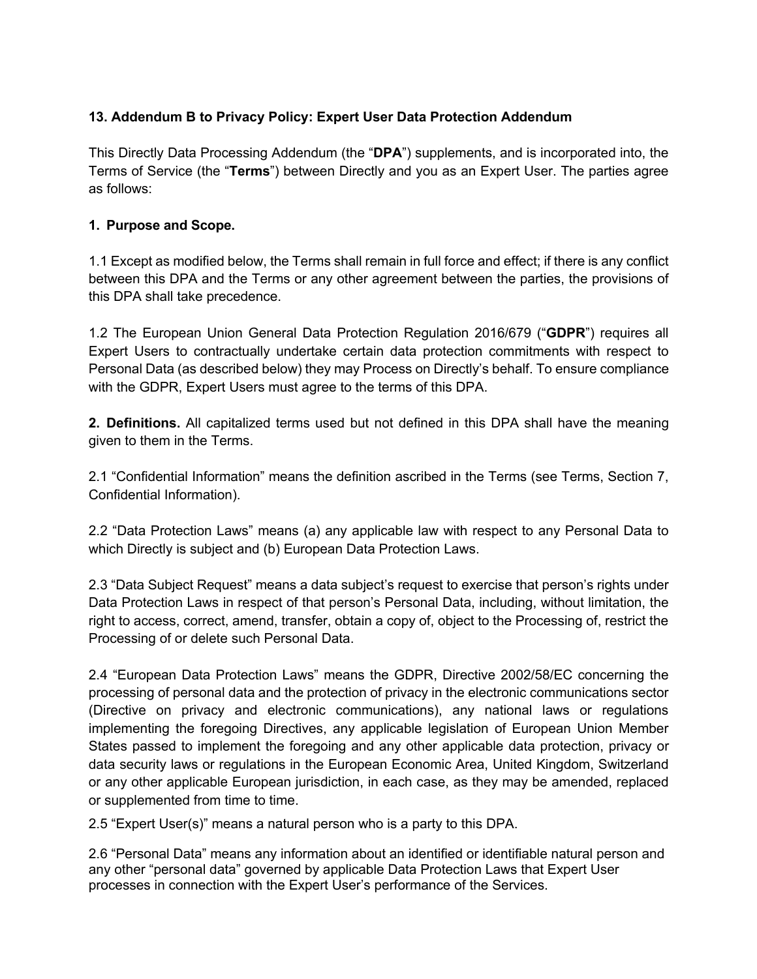# **13. Addendum B to Privacy Policy: Expert User Data Protection Addendum**

This Directly Data Processing Addendum (the "**DPA**") supplements, and is incorporated into, the Terms of Service (the "**Terms**") between Directly and you as an Expert User. The parties agree as follows:

### **1. Purpose and Scope.**

1.1 Except as modified below, the Terms shall remain in full force and effect; if there is any conflict between this DPA and the Terms or any other agreement between the parties, the provisions of this DPA shall take precedence.

1.2 The European Union General Data Protection Regulation 2016/679 ("**GDPR**") requires all Expert Users to contractually undertake certain data protection commitments with respect to Personal Data (as described below) they may Process on Directly's behalf. To ensure compliance with the GDPR, Expert Users must agree to the terms of this DPA.

**2. Definitions.** All capitalized terms used but not defined in this DPA shall have the meaning given to them in the Terms.

2.1 "Confidential Information" means the definition ascribed in the Terms (see Terms, Section 7, Confidential Information).

2.2 "Data Protection Laws" means (a) any applicable law with respect to any Personal Data to which Directly is subject and (b) European Data Protection Laws.

2.3 "Data Subject Request" means a data subject's request to exercise that person's rights under Data Protection Laws in respect of that person's Personal Data, including, without limitation, the right to access, correct, amend, transfer, obtain a copy of, object to the Processing of, restrict the Processing of or delete such Personal Data.

2.4 "European Data Protection Laws" means the GDPR, Directive 2002/58/EC concerning the processing of personal data and the protection of privacy in the electronic communications sector (Directive on privacy and electronic communications), any national laws or regulations implementing the foregoing Directives, any applicable legislation of European Union Member States passed to implement the foregoing and any other applicable data protection, privacy or data security laws or regulations in the European Economic Area, United Kingdom, Switzerland or any other applicable European jurisdiction, in each case, as they may be amended, replaced or supplemented from time to time.

2.5 "Expert User(s)" means a natural person who is a party to this DPA.

2.6 "Personal Data" means any information about an identified or identifiable natural person and any other "personal data" governed by applicable Data Protection Laws that Expert User processes in connection with the Expert User's performance of the Services.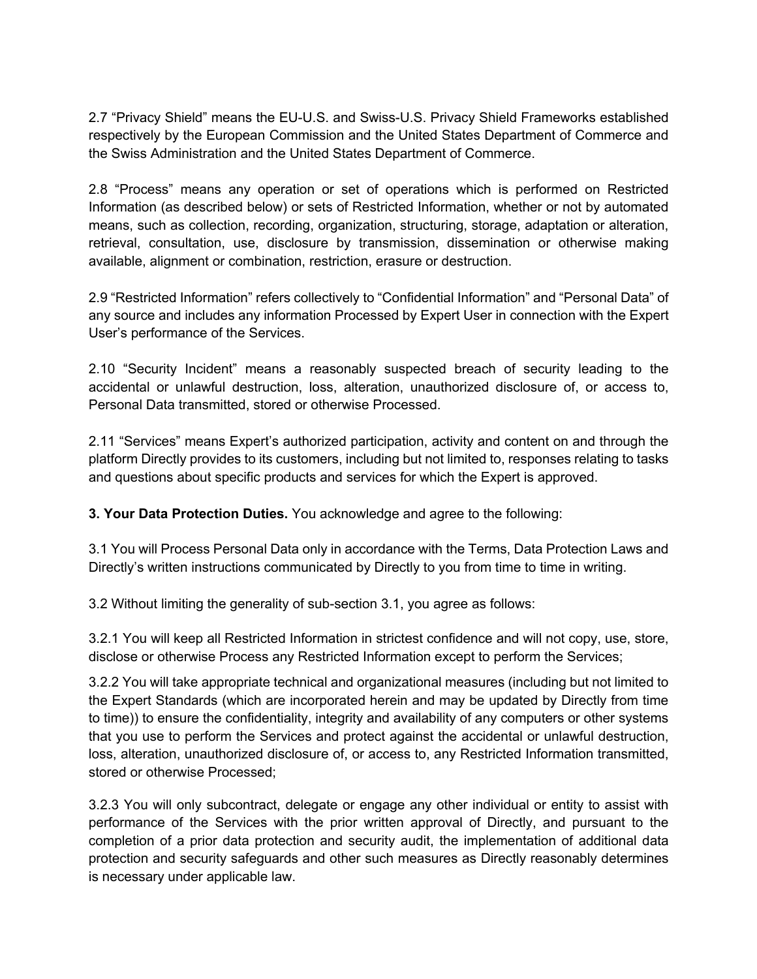2.7 "Privacy Shield" means the EU-U.S. and Swiss-U.S. Privacy Shield Frameworks established respectively by the European Commission and the United States Department of Commerce and the Swiss Administration and the United States Department of Commerce.

2.8 "Process" means any operation or set of operations which is performed on Restricted Information (as described below) or sets of Restricted Information, whether or not by automated means, such as collection, recording, organization, structuring, storage, adaptation or alteration, retrieval, consultation, use, disclosure by transmission, dissemination or otherwise making available, alignment or combination, restriction, erasure or destruction.

2.9 "Restricted Information" refers collectively to "Confidential Information" and "Personal Data" of any source and includes any information Processed by Expert User in connection with the Expert User's performance of the Services.

2.10 "Security Incident" means a reasonably suspected breach of security leading to the accidental or unlawful destruction, loss, alteration, unauthorized disclosure of, or access to, Personal Data transmitted, stored or otherwise Processed.

2.11 "Services" means Expert's authorized participation, activity and content on and through the platform Directly provides to its customers, including but not limited to, responses relating to tasks and questions about specific products and services for which the Expert is approved.

**3. Your Data Protection Duties.** You acknowledge and agree to the following:

3.1 You will Process Personal Data only in accordance with the Terms, Data Protection Laws and Directly's written instructions communicated by Directly to you from time to time in writing.

3.2 Without limiting the generality of sub-section 3.1, you agree as follows:

3.2.1 You will keep all Restricted Information in strictest confidence and will not copy, use, store, disclose or otherwise Process any Restricted Information except to perform the Services;

3.2.2 You will take appropriate technical and organizational measures (including but not limited to the Expert Standards (which are incorporated herein and may be updated by Directly from time to time)) to ensure the confidentiality, integrity and availability of any computers or other systems that you use to perform the Services and protect against the accidental or unlawful destruction, loss, alteration, unauthorized disclosure of, or access to, any Restricted Information transmitted, stored or otherwise Processed;

3.2.3 You will only subcontract, delegate or engage any other individual or entity to assist with performance of the Services with the prior written approval of Directly, and pursuant to the completion of a prior data protection and security audit, the implementation of additional data protection and security safeguards and other such measures as Directly reasonably determines is necessary under applicable law.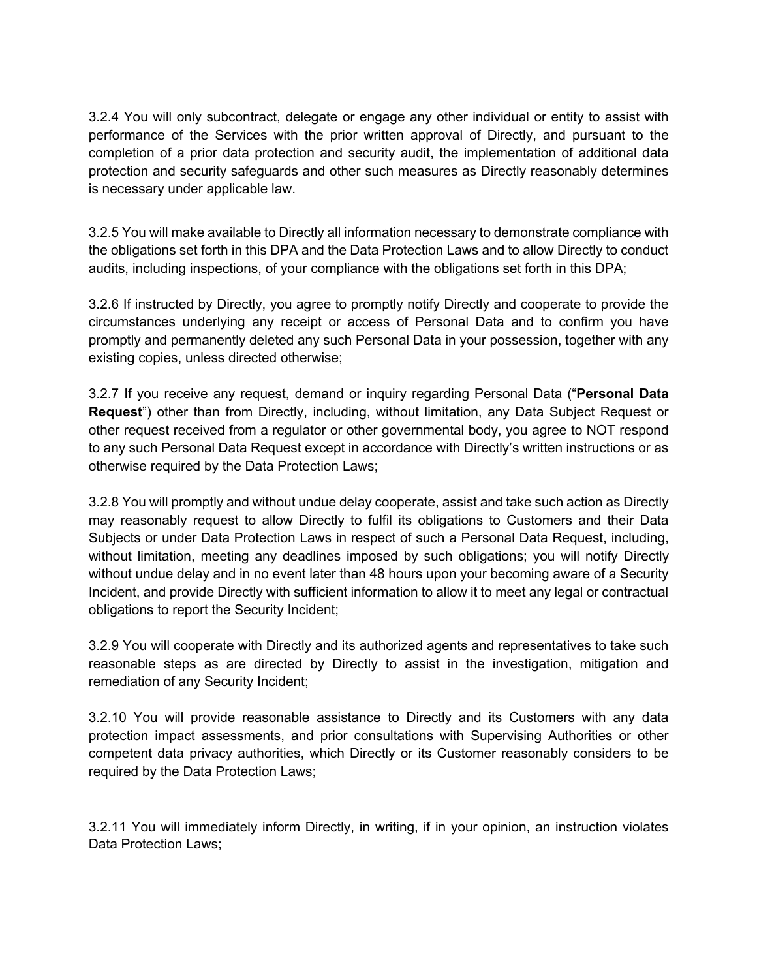3.2.4 You will only subcontract, delegate or engage any other individual or entity to assist with performance of the Services with the prior written approval of Directly, and pursuant to the completion of a prior data protection and security audit, the implementation of additional data protection and security safeguards and other such measures as Directly reasonably determines is necessary under applicable law.

3.2.5 You will make available to Directly all information necessary to demonstrate compliance with the obligations set forth in this DPA and the Data Protection Laws and to allow Directly to conduct audits, including inspections, of your compliance with the obligations set forth in this DPA;

3.2.6 If instructed by Directly, you agree to promptly notify Directly and cooperate to provide the circumstances underlying any receipt or access of Personal Data and to confirm you have promptly and permanently deleted any such Personal Data in your possession, together with any existing copies, unless directed otherwise;

3.2.7 If you receive any request, demand or inquiry regarding Personal Data ("**Personal Data Request**") other than from Directly, including, without limitation, any Data Subject Request or other request received from a regulator or other governmental body, you agree to NOT respond to any such Personal Data Request except in accordance with Directly's written instructions or as otherwise required by the Data Protection Laws;

3.2.8 You will promptly and without undue delay cooperate, assist and take such action as Directly may reasonably request to allow Directly to fulfil its obligations to Customers and their Data Subjects or under Data Protection Laws in respect of such a Personal Data Request, including, without limitation, meeting any deadlines imposed by such obligations; you will notify Directly without undue delay and in no event later than 48 hours upon your becoming aware of a Security Incident, and provide Directly with sufficient information to allow it to meet any legal or contractual obligations to report the Security Incident;

3.2.9 You will cooperate with Directly and its authorized agents and representatives to take such reasonable steps as are directed by Directly to assist in the investigation, mitigation and remediation of any Security Incident;

3.2.10 You will provide reasonable assistance to Directly and its Customers with any data protection impact assessments, and prior consultations with Supervising Authorities or other competent data privacy authorities, which Directly or its Customer reasonably considers to be required by the Data Protection Laws;

3.2.11 You will immediately inform Directly, in writing, if in your opinion, an instruction violates Data Protection Laws;